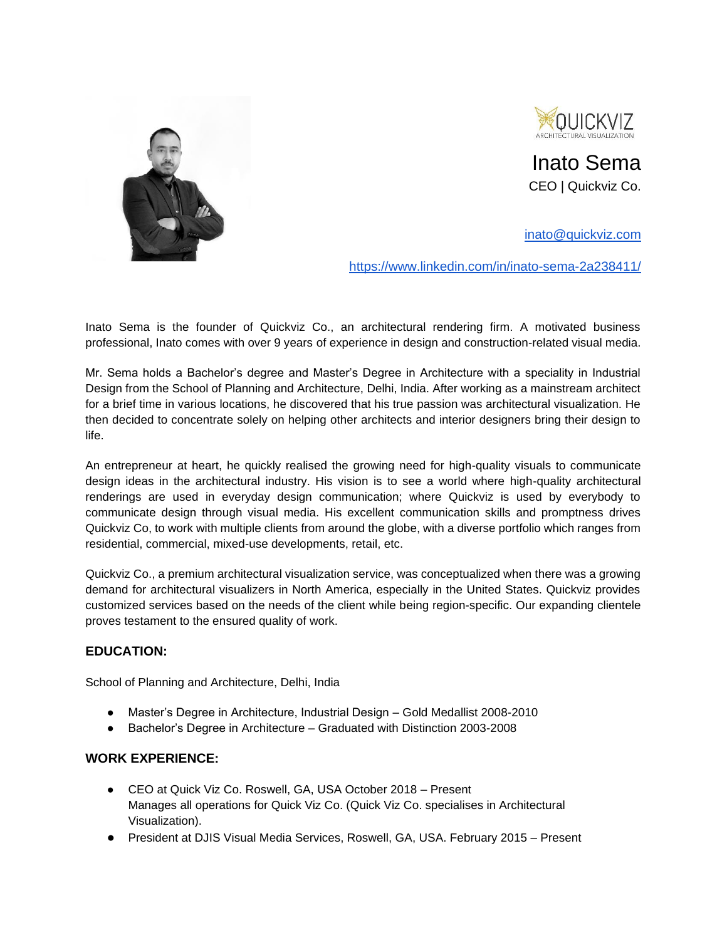



Inato Sema CEO | Quickviz Co.

[inato@quickviz.com](mailto:inato@quickviz.com)

<https://www.linkedin.com/in/inato-sema-2a238411/>

Inato Sema is the founder of Quickviz Co., an architectural rendering firm. A motivated business professional, Inato comes with over 9 years of experience in design and construction-related visual media.

Mr. Sema holds a Bachelor's degree and Master's Degree in Architecture with a speciality in Industrial Design from the School of Planning and Architecture, Delhi, India. After working as a mainstream architect for a brief time in various locations, he discovered that his true passion was architectural visualization. He then decided to concentrate solely on helping other architects and interior designers bring their design to life.

An entrepreneur at heart, he quickly realised the growing need for high-quality visuals to communicate design ideas in the architectural industry. His vision is to see a world where high-quality architectural renderings are used in everyday design communication; where Quickviz is used by everybody to communicate design through visual media. His excellent communication skills and promptness drives Quickviz Co, to work with multiple clients from around the globe, with a diverse portfolio which ranges from residential, commercial, mixed-use developments, retail, etc.

Quickviz Co., a premium architectural visualization service, was conceptualized when there was a growing demand for architectural visualizers in North America, especially in the United States. Quickviz provides customized services based on the needs of the client while being region-specific. Our expanding clientele proves testament to the ensured quality of work.

## **EDUCATION:**

School of Planning and Architecture, Delhi, India

- Master's Degree in Architecture, Industrial Design Gold Medallist 2008-2010
- Bachelor's Degree in Architecture Graduated with Distinction 2003-2008

## **WORK EXPERIENCE:**

- CEO at Quick Viz Co. Roswell, GA, USA October 2018 Present Manages all operations for Quick Viz Co. (Quick Viz Co. specialises in Architectural Visualization).
- President at DJIS Visual Media Services, Roswell, GA, USA. February 2015 Present